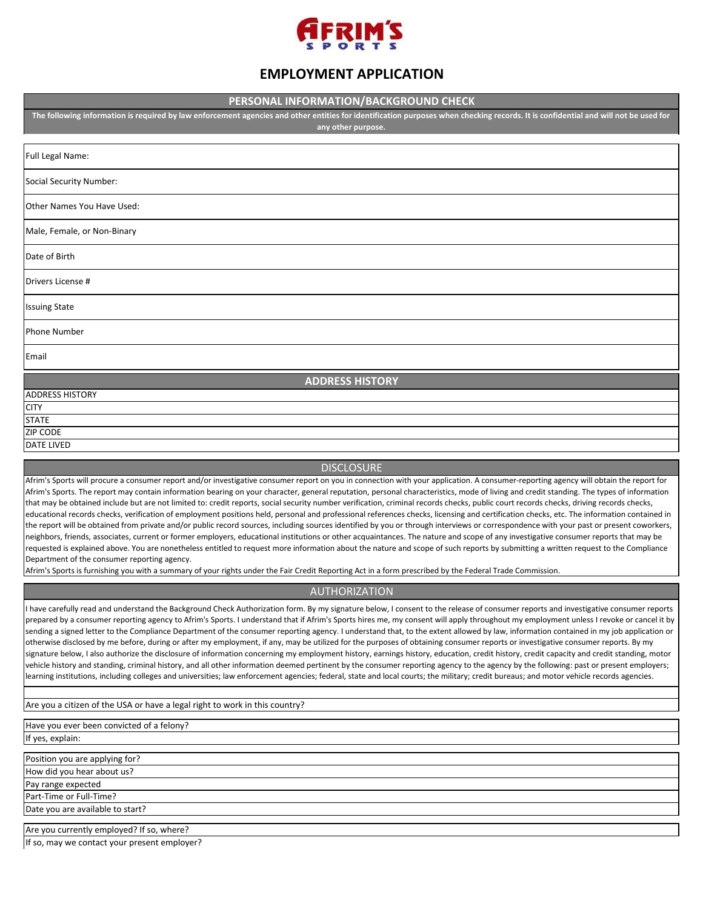

# **EMPLOYMENT APPLICATION**

## **PERSONAL INFORMATION/BACKGROUND CHECK**

**The following information is required by law enforcement agencies and other entities for identification purposes when checking records. It is confidential and will not be used for any other purpose.** 

| Full Legal Name:            |  |  |  |
|-----------------------------|--|--|--|
| Social Security Number:     |  |  |  |
| Other Names You Have Used:  |  |  |  |
| Male, Female, or Non-Binary |  |  |  |
| Date of Birth               |  |  |  |
| Drivers License #           |  |  |  |
| <b>Issuing State</b>        |  |  |  |
| <b>Phone Number</b>         |  |  |  |
| Email                       |  |  |  |
| <b>ADDRESS HISTORY</b>      |  |  |  |
| <b>ADDRESS HISTORY</b>      |  |  |  |
| <b>CITY</b>                 |  |  |  |
| <b>STATE</b>                |  |  |  |

**DISCLOSURE** 

Afrim's Sports will procure a consumer report and/or investigative consumer report on you in connection with your application. A consumer-reporting agency will obtain the report for Afrim's Sports. The report may contain information bearing on your character, general reputation, personal characteristics, mode of living and credit standing. The types of information that may be obtained include but are not limited to: credit reports, social security number verification, criminal records checks, public court records checks, driving records checks, educational records checks, verification of employment positions held, personal and professional references checks, licensing and certification checks, etc. The information contained in the report will be obtained from private and/or public record sources, including sources identified by you or through interviews or correspondence with your past or present coworkers, neighbors, friends, associates, current or former employers, educational institutions or other acquaintances. The nature and scope of any investigative consumer reports that may be requested is explained above. You are nonetheless entitled to request more information about the nature and scope of such reports by submitting a written request to the Compliance Department of the consumer reporting agency.

Afrim's Sports is furnishing you with a summary of your rights under the Fair Credit Reporting Act in a form prescribed by the Federal Trade Commission.

# AUTHORIZATION

I have carefully read and understand the Background Check Authorization form. By my signature below, I consent to the release of consumer reports and investigative consumer reports prepared by a consumer reporting agency to Afrim's Sports. I understand that if Afrim's Sports hires me, my consent will apply throughout my employment unless I revoke or cancel it by sending a signed letter to the Compliance Department of the consumer reporting agency. I understand that, to the extent allowed by law, information contained in my job application or otherwise disclosed by me before, during or after my employment, if any, may be utilized for the purposes of obtaining consumer reports or investigative consumer reports. By my signature below, I also authorize the disclosure of information concerning my employment history, earnings history, education, credit history, credit capacity and credit standing, motor vehicle history and standing, criminal history, and all other information deemed pertinent by the consumer reporting agency to the agency by the following: past or present employers; learning institutions, including colleges and universities; law enforcement agencies; federal, state and local courts; the military; credit bureaus; and motor vehicle records agencies.

Are you a citizen of the USA or have a legal right to work in this country?

Have you ever been convicted of a felony? If yes, explain:

Pay range expected Part-Time or Full-Time? Position you are applying for? How did you hear about us?

ZIP CODE DATE LIVED

Date you are available to start?

Are you currently employed? If so, where?

If so, may we contact your present employer?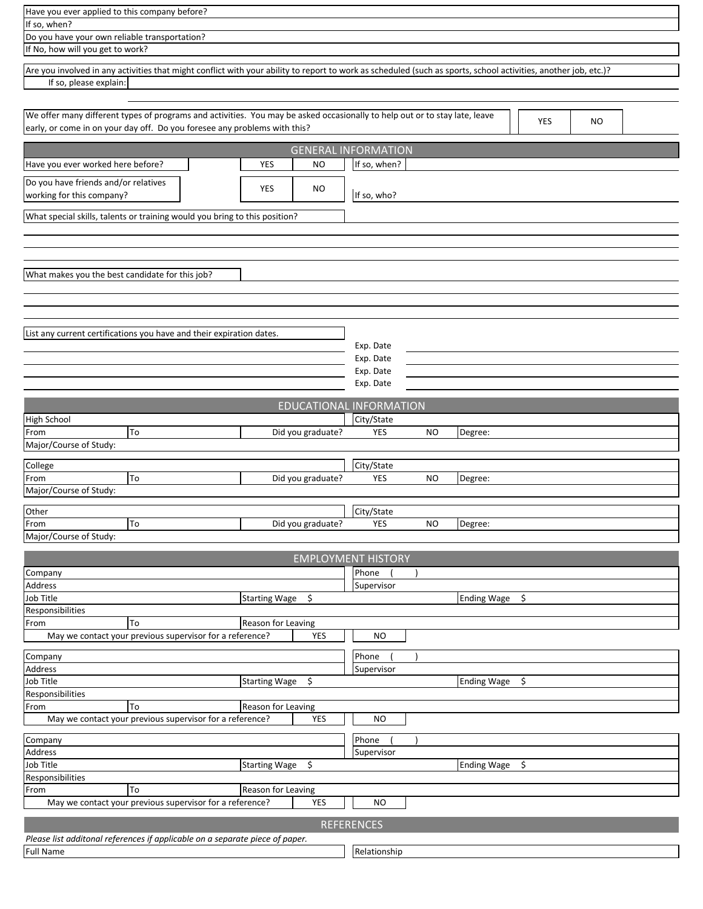| Have you ever applied to this company before?                                                                                                                                                                        |                                         |  |  |  |  |  |  |
|----------------------------------------------------------------------------------------------------------------------------------------------------------------------------------------------------------------------|-----------------------------------------|--|--|--|--|--|--|
| If so, when?                                                                                                                                                                                                         |                                         |  |  |  |  |  |  |
| Do you have your own reliable transportation?<br>If No, how will you get to work?                                                                                                                                    |                                         |  |  |  |  |  |  |
|                                                                                                                                                                                                                      |                                         |  |  |  |  |  |  |
| Are you involved in any activities that might conflict with your ability to report to work as scheduled (such as sports, school activities, another job, etc.)?<br>If so, please explain:                            |                                         |  |  |  |  |  |  |
|                                                                                                                                                                                                                      |                                         |  |  |  |  |  |  |
| We offer many different types of programs and activities. You may be asked occasionally to help out or to stay late, leave<br>YES<br>NO<br>early, or come in on your day off. Do you foresee any problems with this? |                                         |  |  |  |  |  |  |
|                                                                                                                                                                                                                      | <b>GENERAL INFORMATION</b>              |  |  |  |  |  |  |
| Have you ever worked here before?<br><b>NO</b><br>YES                                                                                                                                                                | If so, when?                            |  |  |  |  |  |  |
| Do you have friends and/or relatives<br>YES<br>NO<br>working for this company?                                                                                                                                       | If so, who?                             |  |  |  |  |  |  |
| What special skills, talents or training would you bring to this position?                                                                                                                                           |                                         |  |  |  |  |  |  |
|                                                                                                                                                                                                                      |                                         |  |  |  |  |  |  |
|                                                                                                                                                                                                                      |                                         |  |  |  |  |  |  |
|                                                                                                                                                                                                                      |                                         |  |  |  |  |  |  |
| What makes you the best candidate for this job?                                                                                                                                                                      |                                         |  |  |  |  |  |  |
|                                                                                                                                                                                                                      |                                         |  |  |  |  |  |  |
|                                                                                                                                                                                                                      |                                         |  |  |  |  |  |  |
| List any current certifications you have and their expiration dates.                                                                                                                                                 |                                         |  |  |  |  |  |  |
|                                                                                                                                                                                                                      | Exp. Date                               |  |  |  |  |  |  |
|                                                                                                                                                                                                                      | Exp. Date<br>Exp. Date                  |  |  |  |  |  |  |
|                                                                                                                                                                                                                      | Exp. Date                               |  |  |  |  |  |  |
|                                                                                                                                                                                                                      | EDUCATIONAL INFORMATION                 |  |  |  |  |  |  |
| High School                                                                                                                                                                                                          | City/State                              |  |  |  |  |  |  |
| To<br>From<br>Did you graduate?                                                                                                                                                                                      | <b>YES</b><br><b>NO</b><br>Degree:      |  |  |  |  |  |  |
| Major/Course of Study:                                                                                                                                                                                               |                                         |  |  |  |  |  |  |
| College<br>To<br>From<br>Did you graduate?                                                                                                                                                                           | City/State<br><b>YES</b><br><b>NO</b>   |  |  |  |  |  |  |
| Major/Course of Study:                                                                                                                                                                                               | Degree:                                 |  |  |  |  |  |  |
| Other                                                                                                                                                                                                                | City/State                              |  |  |  |  |  |  |
| To<br>Did you graduate?<br>From                                                                                                                                                                                      | <b>YES</b><br>Degree:<br><b>NO</b>      |  |  |  |  |  |  |
| Major/Course of Study:                                                                                                                                                                                               |                                         |  |  |  |  |  |  |
|                                                                                                                                                                                                                      | <b>EMPLOYMENT HISTORY</b>               |  |  |  |  |  |  |
| Company                                                                                                                                                                                                              | Phone                                   |  |  |  |  |  |  |
| Address<br>Job Title<br>Starting Wage \$                                                                                                                                                                             | Supervisor<br><b>Ending Wage</b><br>\$  |  |  |  |  |  |  |
| Responsibilities                                                                                                                                                                                                     |                                         |  |  |  |  |  |  |
| To<br>Reason for Leaving<br>From                                                                                                                                                                                     |                                         |  |  |  |  |  |  |
| May we contact your previous supervisor for a reference?<br>YES                                                                                                                                                      | NO                                      |  |  |  |  |  |  |
| Company<br>Address                                                                                                                                                                                                   | Phone                                   |  |  |  |  |  |  |
| <b>Job Title</b><br>Starting Wage \$                                                                                                                                                                                 | Supervisor<br><b>Ending Wage</b><br>-\$ |  |  |  |  |  |  |
| Responsibilities                                                                                                                                                                                                     |                                         |  |  |  |  |  |  |
| To<br>Reason for Leaving<br>From<br>May we contact your previous supervisor for a reference?<br><b>YES</b>                                                                                                           | <b>NO</b>                               |  |  |  |  |  |  |
|                                                                                                                                                                                                                      |                                         |  |  |  |  |  |  |
| Company<br>Address                                                                                                                                                                                                   | Phone<br>Supervisor                     |  |  |  |  |  |  |
| Job Title<br>Starting Wage \$                                                                                                                                                                                        | <b>Ending Wage</b><br>\$                |  |  |  |  |  |  |
| Responsibilities                                                                                                                                                                                                     |                                         |  |  |  |  |  |  |
| To<br>From<br>Reason for Leaving<br>May we contact your previous supervisor for a reference?<br>YES                                                                                                                  | <b>NO</b>                               |  |  |  |  |  |  |
|                                                                                                                                                                                                                      |                                         |  |  |  |  |  |  |
| Please list additonal references if applicable on a separate piece of paper.                                                                                                                                         | <b>REFERENCES</b>                       |  |  |  |  |  |  |
| <b>Full Name</b>                                                                                                                                                                                                     | Relationship                            |  |  |  |  |  |  |
|                                                                                                                                                                                                                      |                                         |  |  |  |  |  |  |